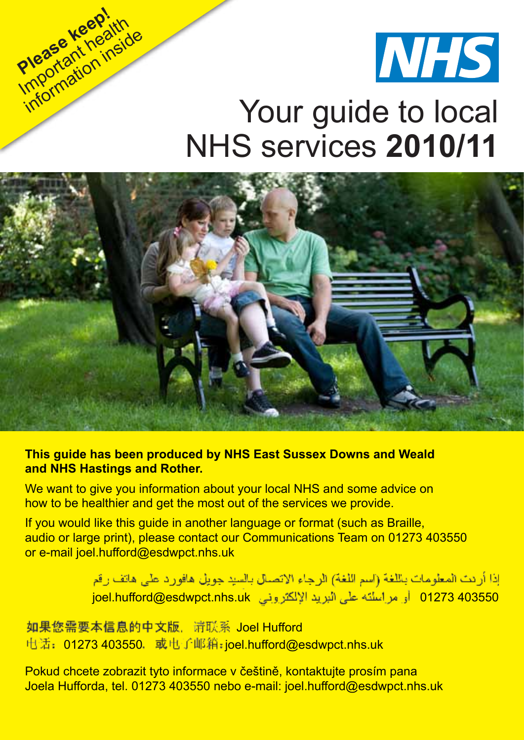

### Your guide to local NHS services **2010/11**



**Please keep!**

Important health information inside

### **This guide has been produced by NHS East Sussex Downs and Weald and NHS Hastings and Rother.**

We want to give you information about your local NHS and some advice on how to be healthier and get the most out of the services we provide.

If you would like this guide in another language or format (such as Braille, audio or large print), please contact our Communications Team on 01273 403550 or e-mail joel.hufford@esdwpct.nhs.uk

> إذا أرئت المعلومات باللغة (اسم اللغة) الرجاء الاتصال بالسيد جويل هافورد على هاتف رقم joel.hufford@esdwpct.nhs.uk 01273 403550

电话: 01273 403550. 或电子邮箱:joel.hufford@esdwpct.nhs.uk 如果您需要本信息的中文版、请联系 Joel Hufford

Pokud chcete zobrazit tyto informace v češtině, kontaktujte prosím pana Joela Hufforda, tel. 01273 403550 nebo e-mail: joel.hufford@esdwpct.nhs.uk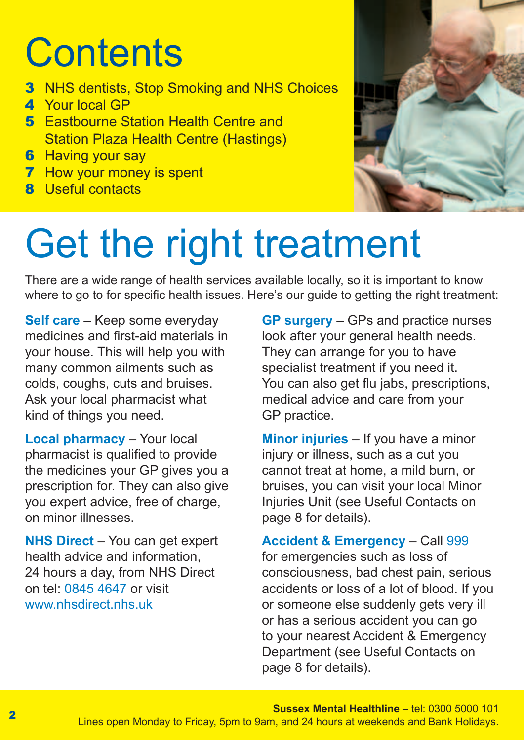## **Contents**

- **3** NHS dentists, Stop Smoking and NHS Choices
- 4 Your local GP
- **5** Eastbourne Station Health Centre and Station Plaza Health Centre (Hastings)
- **6** Having your say
- **7** How your money is spent
- 8 Useful contacts



## Get the right treatment

There are a wide range of health services available locally, so it is important to know where to go to for specific health issues. Here's our guide to getting the right treatment:

**Self care** – Keep some everyday medicines and first-aid materials in your house. This will help you with many common ailments such as colds, coughs, cuts and bruises. Ask your local pharmacist what kind of things you need.

**Local pharmacy** – Your local pharmacist is qualified to provide the medicines your GP gives you a prescription for. They can also give you expert advice, free of charge, on minor illnesses.

**NHS Direct** – You can get expert health advice and information, 24 hours a day, from NHS Direct on tel: 0845 4647 or visit www.nhsdirect.nhs.uk

**GP surgery** – GPs and practice nurses look after your general health needs. They can arrange for you to have specialist treatment if you need it. You can also get flu jabs, prescriptions, medical advice and care from your GP practice.

**Minor injuries** – If you have a minor injury or illness, such as a cut you cannot treat at home, a mild burn, or bruises, you can visit your local Minor Injuries Unit (see Useful Contacts on page 8 for details).

**Accident & Emergency** – Call 999 for emergencies such as loss of consciousness, bad chest pain, serious accidents or loss of a lot of blood. If you or someone else suddenly gets very ill or has a serious accident you can go to your nearest Accident & Emergency Department (see Useful Contacts on page 8 for details).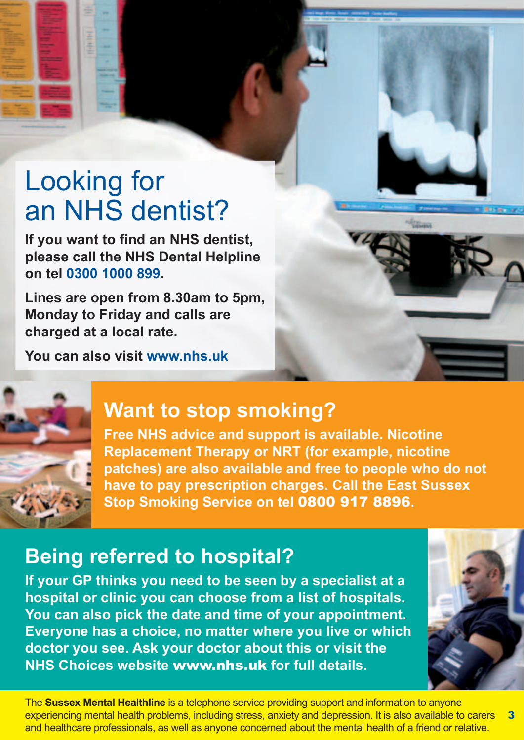### Looking for an NHS dentist?

**If you want to find an NHS dentist, please call the NHS Dental Helpline on tel 0300 1000 899.**

**Lines are open from 8.30am to 5pm, Monday to Friday and calls are charged at a local rate.**

**You can also visit www.nhs.uk**



### **Want to stop smoking?**

**Free NHS advice and support is available. Nicotine Replacement Therapy or NRT (for example, nicotine patches) are also available and free to people who do not have to pay prescription charges. Call the East Sussex Stop Smoking Service on tel** 0800 917 8896**.**

### **Being referred to hospital?**

**If your GP thinks you need to be seen by a specialist at a hospital or clinic you can choose from a list of hospitals. You can also pick the date and time of your appointment. Everyone has a choice, no matter where you live or which doctor you see. Ask your doctor about this or visit the NHS Choices website** www.nhs.uk **for full details.**

The **Sussex Mental Healthline** is a telephone service providing support and information to anyone experiencing mental health problems, including stress, anxiety and depression. It is also available to carers and healthcare professionals, as well as anyone concerned about the mental health of a friend or relative. 3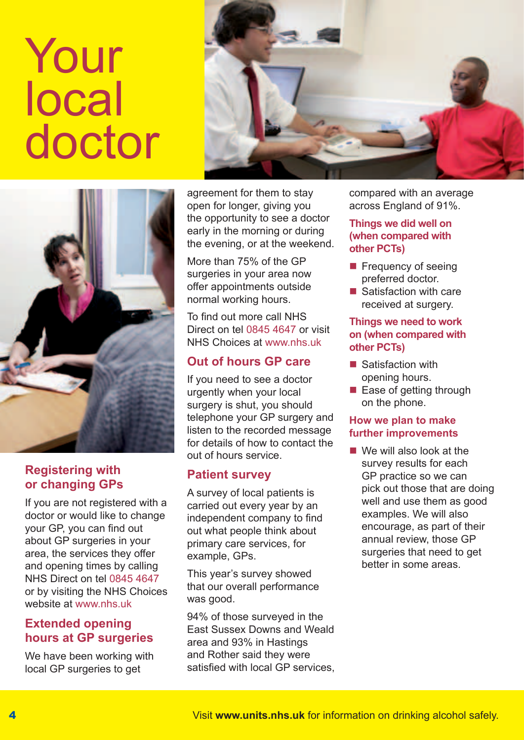# Your local doctor





### **Registering with or changing GPs**

If you are not registered with a doctor or would like to change your GP, you can find out about GP surgeries in your area, the services they offer and opening times by calling NHS Direct on tel 0845 4647 or by visiting the NHS Choices website at www.nhs.uk

### **Extended opening hours at GP surgeries**

We have been working with local GP surgeries to get

agreement for them to stay open for longer, giving you the opportunity to see a doctor early in the morning or during the evening, or at the weekend.

More than 75% of the GP surgeries in your area now offer appointments outside normal working hours.

To find out more call NHS Direct on tel 0845 4647 or visit NHS Choices at www.nhs.uk

### **Out of hours GP care**

If you need to see a doctor urgently when your local surgery is shut, you should telephone your GP surgery and listen to the recorded message for details of how to contact the out of hours service.

### **Patient survey**

A survey of local patients is carried out every year by an independent company to find out what people think about primary care services, for example, GPs.

This year's survey showed that our overall performance was good.

94% of those surveyed in the East Sussex Downs and Weald area and 93% in Hastings and Rother said they were satisfied with local GP services,

compared with an average across England of 91%.

#### **Things we did well on (when compared with other PCTs)**

- **Firequency of seeing** preferred doctor.
- Satisfaction with care received at surgery.

#### **Things we need to work on (when compared with other PCTs)**

- $\blacksquare$  Satisfaction with opening hours.
- Ease of getting through on the phone.

#### **How we plan to make further improvements**

■ We will also look at the survey results for each GP practice so we can pick out those that are doing well and use them as good examples. We will also encourage, as part of their annual review, those GP surgeries that need to get better in some areas.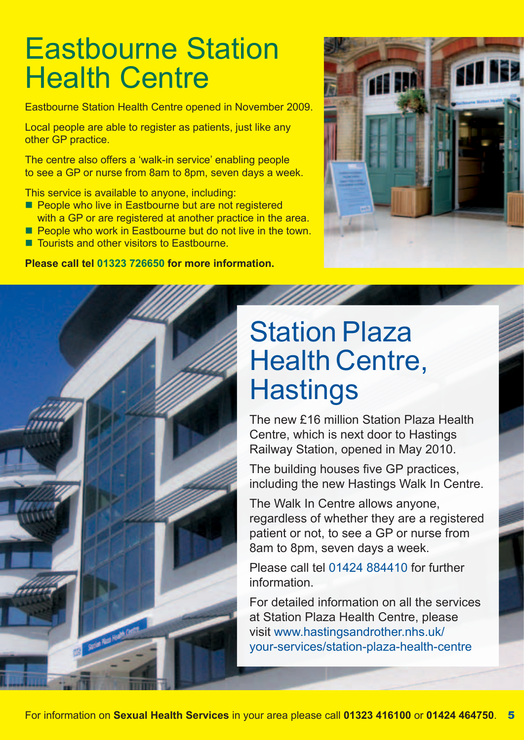### Eastbourne Station **Health Centre**

Eastbourne Station Health Centre opened in November 2009.

Local people are able to register as patients, just like any other GP practice.

The centre also offers a 'walk-in service' enabling people to see a GP or nurse from 8am to 8pm, seven days a week.

This service is available to anyone, including:

- **People who live in Eastbourne but are not registered** with a GP or are registered at another practice in the area.
- **People who work in Eastbourne but do not live in the town.**
- Tourists and other visitors to Eastbourne.

**Please call tel 01323 726650 for more information.**





### Station Plaza Health Centre, **Hastings**

The new £16 million Station Plaza Health Centre, which is next door to Hastings Railway Station, opened in May 2010.

The building houses five GP practices, including the new Hastings Walk In Centre.

The Walk In Centre allows anyone, regardless of whether they are a registered patient or not, to see a GP or nurse from 8am to 8pm, seven days a week.

Please call tel 01424 884410 for further information.

For detailed information on all the services at Station Plaza Health Centre, please visit www.hastingsandrother.nhs.uk/ your-services/station-plaza-health-centre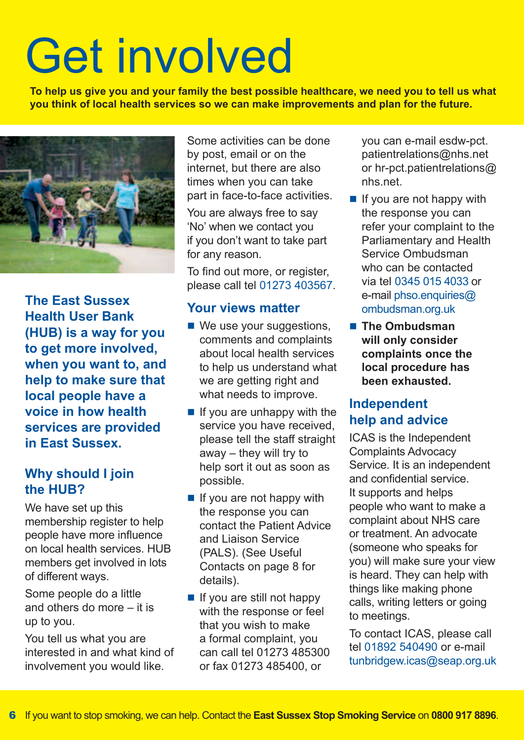# Get involved

**To help us give you and your family the best possible healthcare, we need you to tell us what you think of local health services so we can make improvements and plan for the future.**



**The East Sussex Health User Bank (HUB) is a way for you to get more involved, when you want to, and help to make sure that local people have a voice in how health services are provided in East Sussex.**

### **Why should I join the HUB?**

We have set up this membership register to help people have more influence on local health services. HUB members get involved in lots of different ways.

Some people do a little and others do more – it is up to you.

You tell us what you are interested in and what kind of involvement you would like.

Some activities can be done by post, email or on the internet, but there are also times when you can take part in face-to-face activities.

You are always free to say 'No' when we contact you if you don't want to take part for any reason.

To find out more, or register, please call tel 01273 403567.

### **Your views matter**

- We use your suggestions, comments and complaints about local health services to help us understand what we are getting right and what needs to improve.
- $\blacksquare$  If you are unhappy with the service you have received, please tell the staff straight away – they will try to help sort it out as soon as possible.
- $\blacksquare$  If you are not happy with the response you can contact the Patient Advice and Liaison Service (PALS). (See Useful Contacts on page 8 for details).
- $\blacksquare$  If you are still not happy with the response or feel that you wish to make a formal complaint, you can call tel 01273 485300 or fax 01273 485400, or

you can e-mail esdw-pct. patientrelations@nhs.net or hr-pct.patientrelations@ nhs.net.

- $\blacksquare$  If you are not happy with the response you can refer your complaint to the Parliamentary and Health Service Ombudsman who can be contacted via tel 0345 015 4033 or e-mail phso.enquiries@ ombudsman.org.uk
- The Ombudsman **will only consider complaints once the local procedure has been exhausted.**

### **Independent help and advice**

ICAS is the Independent Complaints Advocacy Service. It is an independent and confidential service. It supports and helps people who want to make a complaint about NHS care or treatment. An advocate (someone who speaks for you) will make sure your view is heard. They can help with things like making phone calls, writing letters or going to meetings.

To contact ICAS, please call tel 01892 540490 or e-mail tunbridgew.icas@seap.org.uk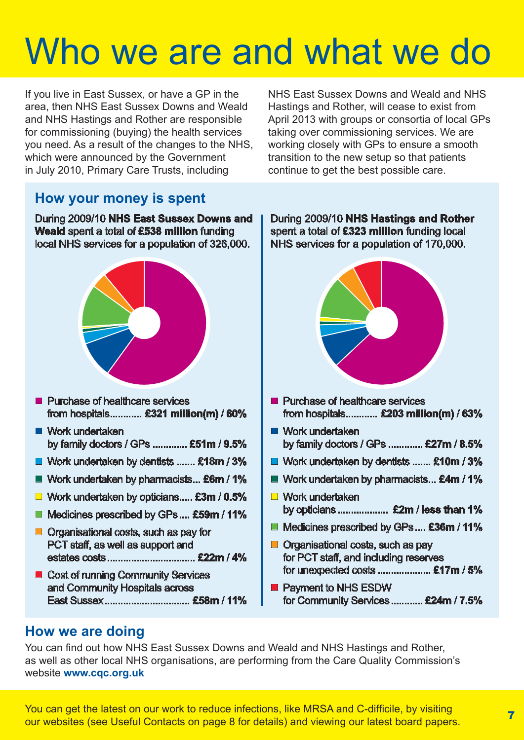## Who we are and what we do

If you live in East Sussex, or have a GP in the area, then NHS East Sussex Downs and Weald and NHS Hastings and Rother are responsible for commissioning (buying) the health services you need. As a result of the changes to the NHS, which were announced by the Government in July 2010, Primary Care Trusts, including

NHS East Sussex Downs and Weald and NHS Hastings and Rother, will cease to exist from April 2013 with groups or consortia of local GPs taking over commissioning services. We are working closely with GPs to ensure a smooth transition to the new setup so that patients continue to get the best possible care.

### **How your money is spent**

During 2009/10 **NHS East Sussex Downs and Weald** spent a total of **£538 million** funding local NHS services for a population of 326,000.



- **Purchase of healthcare services** from hospitals............ **£321 million(m)** / **60%**
- Work undertaken by family doctors / GPs ............. **£51m** / **9.5%**
- Work undertaken by dentists ....... **£18m** / **3%**
- Work undertaken by pharmacists... **£6m** / **1%**
- Work undertaken by opticians..... **£3m** / **0.5%**
- Medicines prescribed by GPs .... £59m / 11%
- **Organisational costs, such as pay for** PCT staff, as well as support and estates costs................................. **£22m** / **4%**
- Cost of running Community Services and Community Hospitals across East Sussex................................ **£58m** / **11%**

During 2009/10 **NHS Hastings and Rother** spent a total of **£323 million** funding local NHS services for a population of 170,000.



- **Purchase of healthcare services** from hospitals............ **£203 million(m)** / **63%**
- Work undertaken by family doctors / GPs ............. **£27m** / **8.5%**
- Work undertaken by dentists ....... **£10m** / **3%**
- Work undertaken by pharmacists... **£4m** / **1%**
- **Work undertaken** by opticians ................... **£2m** / **less than 1%**
- Medicines prescribed by GPs.... **£36m** / **11%**
- **Organisational costs, such as pay** for PCT staff, and including reserves for unexpected costs .................... **£17m** / **5%**
- **Payment to NHS ESDW** for Community Services............ **£24m** / **7.5%**

### **How we are doing**

You can find out how NHS East Sussex Downs and Weald and NHS Hastings and Rother, as well as other local NHS organisations, are performing from the Care Quality Commission's website **www.cqc.org.uk**

You can get the latest on our work to reduce infections, like MRSA and C-difficile, by visiting Tou can get the latest on our work to require infections, like without and C-unlicite, by visiting  $\frac{1}{7}$  our websites (see Useful Contacts on page 8 for details) and viewing our latest board papers.